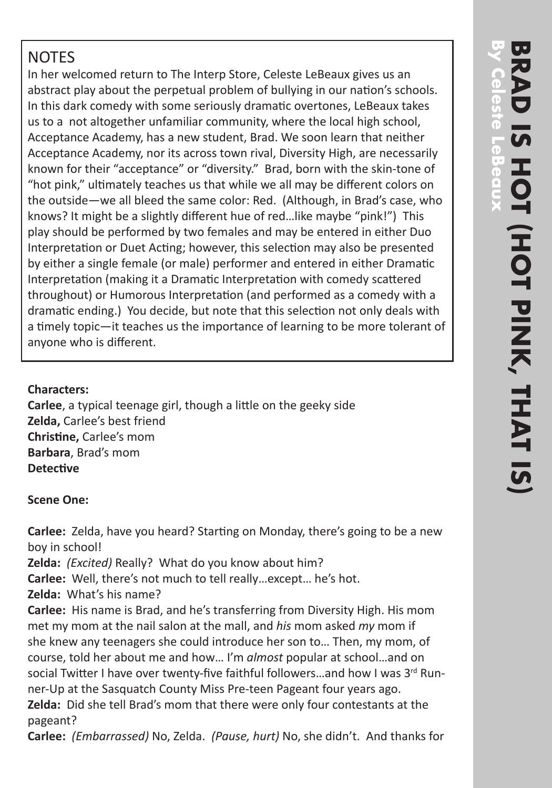# **NOTES**

In her welcomed return to The Interp Store, Celeste LeBeaux gives us an abstract play about the perpetual problem of bullying in our nation's schools. In this dark comedy with some seriously dramatic overtones, LeBeaux takes us to a not altogether unfamiliar community, where the local high school, Acceptance Academy, has a new student, Brad. We soon learn that neither Acceptance Academy, nor its across town rival, Diversity High, are necessarily known for their "acceptance" or "diversity." Brad, born with the skin-tone of "hot pink," ultimately teaches us that while we all may be different colors on the outside—we all bleed the same color: Red. (Although, in Brad's case, who knows? It might be a slightly different hue of red…like maybe "pink!") This play should be performed by two females and may be entered in either Duo Interpretation or Duet Acting; however, this selection may also be presented by either a single female (or male) performer and entered in either Dramatic Interpretation (making it a Dramatic Interpretation with comedy scattered throughout) or Humorous Interpretation (and performed as a comedy with a dramatic ending.) You decide, but note that this selection not only deals with a timely topic—it teaches us the importance of learning to be more tolerant of anyone who is different.

## **Characters:**

**Carlee**, a typical teenage girl, though a little on the geeky side **Zelda,** Carlee's best friend **Christine,** Carlee's mom **Barbara**, Brad's mom **Detective**

### **Scene One:**

**Carlee:** Zelda, have you heard? Starting on Monday, there's going to be a new boy in school!

**Zelda:** *(Excited)* Really? What do you know about him?

**Carlee:** Well, there's not much to tell really…except… he's hot.

**Zelda:** What's his name?

**Carlee:** His name is Brad, and he's transferring from Diversity High. His mom met my mom at the nail salon at the mall, and *his* mom asked *my* mom if she knew any teenagers she could introduce her son to… Then, my mom, of course, told her about me and how… I'm *almost* popular at school…and on social Twitter I have over twenty-five faithful followers...and how I was  $3^{rd}$  Runner-Up at the Sasquatch County Miss Pre-teen Pageant four years ago. **Zelda:** Did she tell Brad's mom that there were only four contestants at the pageant?

**Carlee:** *(Embarrassed)* No, Zelda. *(Pause, hurt)* No, she didn't. And thanks for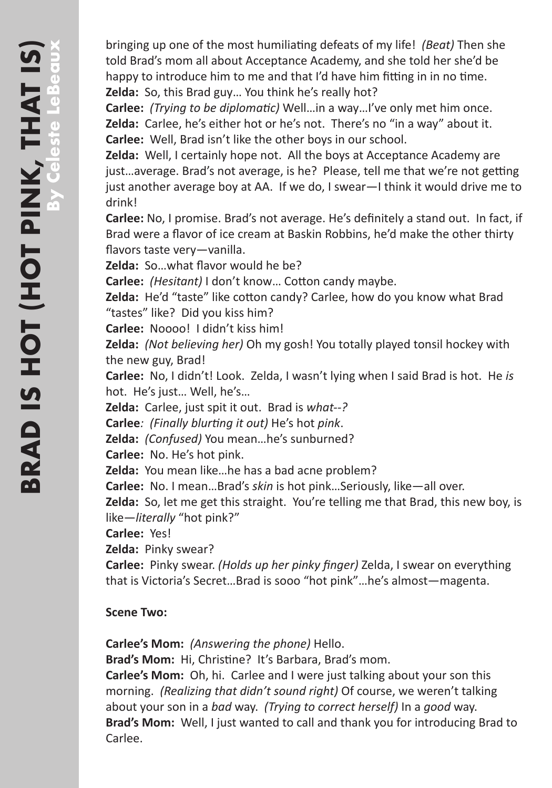bringing up one of the most humiliating defeats of my life! *(Beat)* Then she told Brad's mom all about Acceptance Academy, and she told her she'd be happy to introduce him to me and that I'd have him fitting in in no time. **Zelda:** So, this Brad guy… You think he's really hot?

**Carlee:** *(Trying to be diplomatic)* Well…in a way…I've only met him once. **Zelda:** Carlee, he's either hot or he's not. There's no "in a way" about it. **Carlee:** Well, Brad isn't like the other boys in our school.

**Zelda:** Well, I certainly hope not. All the boys at Acceptance Academy are just…average. Brad's not average, is he? Please, tell me that we're not getting just another average boy at AA. If we do, I swear—I think it would drive me to drink!

**Carlee:** No, I promise. Brad's not average. He's definitely a stand out. In fact, if Brad were a flavor of ice cream at Baskin Robbins, he'd make the other thirty flavors taste very—vanilla.

**Zelda:** So…what flavor would he be?

**Carlee:** *(Hesitant)* I don't know… Cotton candy maybe.

**Zelda:** He'd "taste" like cotton candy? Carlee, how do you know what Brad "tastes" like? Did you kiss him?

**Carlee:** Noooo! I didn't kiss him!

**Zelda:** *(Not believing her)* Oh my gosh! You totally played tonsil hockey with the new guy, Brad!

**Carlee:** No, I didn't! Look. Zelda, I wasn't lying when I said Brad is hot. He *is* hot. He's just… Well, he's…

**Zelda:** Carlee, just spit it out. Brad is *what--?*

**Carlee***: (Finally blurting it out)* He's hot *pink*.

**Zelda:** *(Confused)* You mean…he's sunburned?

**Carlee:** No. He's hot pink.

**Zelda:** You mean like…he has a bad acne problem?

**Carlee:** No. I mean…Brad's *skin* is hot pink…Seriously, like—all over.

**Zelda:** So, let me get this straight. You're telling me that Brad, this new boy, is like—*literally* "hot pink?"

**Carlee:** Yes!

**Zelda:** Pinky swear?

**Carlee:** Pinky swear. *(Holds up her pinky finger)* Zelda, I swear on everything that is Victoria's Secret…Brad is sooo "hot pink"…he's almost—magenta.

#### **Scene Two:**

**Carlee's Mom:** *(Answering the phone)* Hello.

**Brad's Mom:** Hi, Christine? It's Barbara, Brad's mom.

**Carlee's Mom:** Oh, hi. Carlee and I were just talking about your son this morning. *(Realizing that didn't sound right)* Of course, we weren't talking about your son in a *bad* way. *(Trying to correct herself)* In a *good* way. **Brad's Mom:** Well, I just wanted to call and thank you for introducing Brad to Carlee.